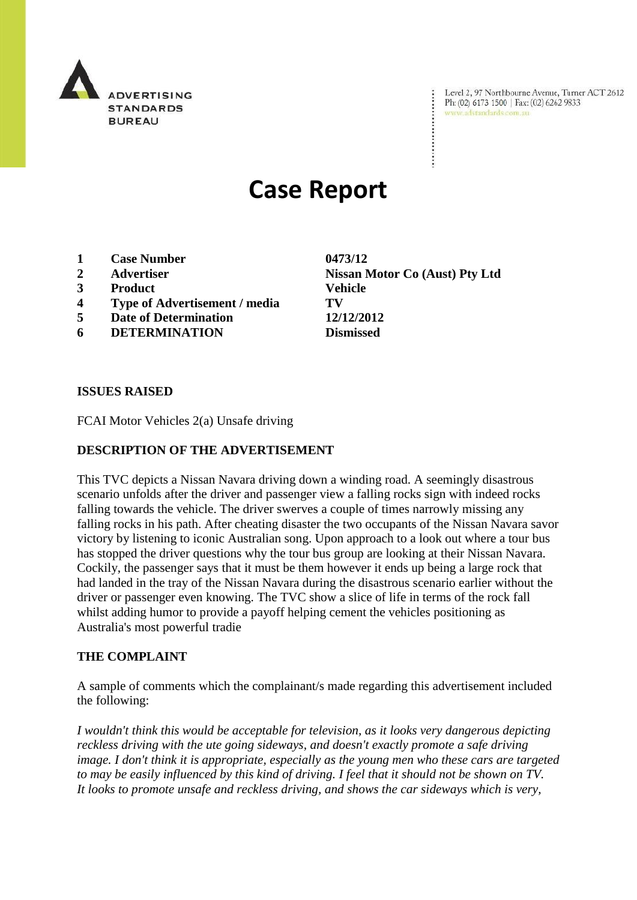

Level 2, 97 Northbourne Avenue, Turner ACT 2612 Ph: (02) 6173 1500 | Fax: (02) 6262 9833 www.adstandards.com.au

# **Case Report**

- **1 Case Number 0473/12**
- 
- **3 Product Vehicle**
- **4 Type of Advertisement / media TV**
- **5 Date of Determination 12/12/2012**
- **6 DETERMINATION Dismissed**

**ISSUES RAISED**

FCAI Motor Vehicles 2(a) Unsafe driving

#### **DESCRIPTION OF THE ADVERTISEMENT**

This TVC depicts a Nissan Navara driving down a winding road. A seemingly disastrous scenario unfolds after the driver and passenger view a falling rocks sign with indeed rocks falling towards the vehicle. The driver swerves a couple of times narrowly missing any falling rocks in his path. After cheating disaster the two occupants of the Nissan Navara savor victory by listening to iconic Australian song. Upon approach to a look out where a tour bus has stopped the driver questions why the tour bus group are looking at their Nissan Navara. Cockily, the passenger says that it must be them however it ends up being a large rock that had landed in the tray of the Nissan Navara during the disastrous scenario earlier without the driver or passenger even knowing. The TVC show a slice of life in terms of the rock fall whilst adding humor to provide a payoff helping cement the vehicles positioning as Australia's most powerful tradie

#### **THE COMPLAINT**

A sample of comments which the complainant/s made regarding this advertisement included the following:

*I wouldn't think this would be acceptable for television, as it looks very dangerous depicting reckless driving with the ute going sideways, and doesn't exactly promote a safe driving image. I don't think it is appropriate, especially as the young men who these cars are targeted to may be easily influenced by this kind of driving. I feel that it should not be shown on TV. It looks to promote unsafe and reckless driving, and shows the car sideways which is very,* 

**2 Advertiser Nissan Motor Co (Aust) Pty Ltd**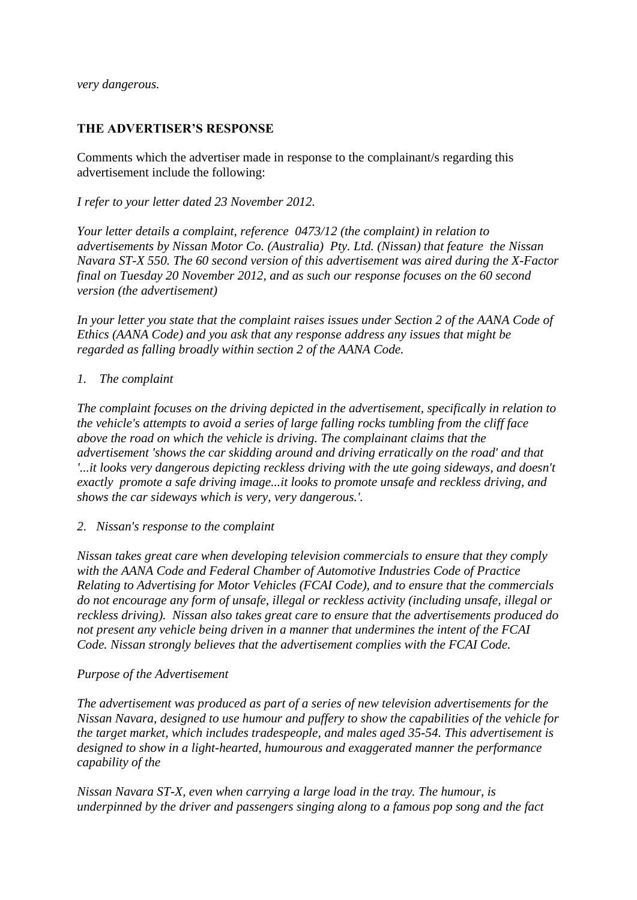*very dangerous.*

### **THE ADVERTISER'S RESPONSE**

Comments which the advertiser made in response to the complainant/s regarding this advertisement include the following:

*I refer to your letter dated 23 November 2012.*

*Your letter details a complaint, reference 0473/12 (the complaint) in relation to advertisements by Nissan Motor Co. (Australia) Pty. Ltd. (Nissan) that feature the Nissan Navara ST-X 550. The 60 second version of this advertisement was aired during the X-Factor final on Tuesday 20 November 2012, and as such our response focuses on the 60 second version (the advertisement)*

In your letter you state that the complaint raises issues under Section 2 of the AANA Code of *Ethics (AANA Code) and you ask that any response address any issues that might be regarded as falling broadly within section 2 of the AANA Code.*

#### *1. The complaint*

*The complaint focuses on the driving depicted in the advertisement, specifically in relation to the vehicle's attempts to avoid a series of large falling rocks tumbling from the cliff face above the road on which the vehicle is driving. The complainant claims that the advertisement 'shows the car skidding around and driving erratically on the road' and that '...it looks very dangerous depicting reckless driving with the ute going sideways, and doesn't exactly promote a safe driving image...it looks to promote unsafe and reckless driving, and shows the car sideways which is very, very dangerous.'.*

*2. Nissan's response to the complaint* 

*Nissan takes great care when developing television commercials to ensure that they comply with the AANA Code and Federal Chamber of Automotive Industries Code of Practice Relating to Advertising for Motor Vehicles (FCAI Code), and to ensure that the commercials do not encourage any form of unsafe, illegal or reckless activity (including unsafe, illegal or reckless driving). Nissan also takes great care to ensure that the advertisements produced do not present any vehicle being driven in a manner that undermines the intent of the FCAI Code. Nissan strongly believes that the advertisement complies with the FCAI Code.*

## *Purpose of the Advertisement*

*The advertisement was produced as part of a series of new television advertisements for the Nissan Navara, designed to use humour and puffery to show the capabilities of the vehicle for the target market, which includes tradespeople, and males aged 35-54. This advertisement is designed to show in a light-hearted, humourous and exaggerated manner the performance capability of the*

*Nissan Navara ST-X, even when carrying a large load in the tray. The humour, is underpinned by the driver and passengers singing along to a famous pop song and the fact*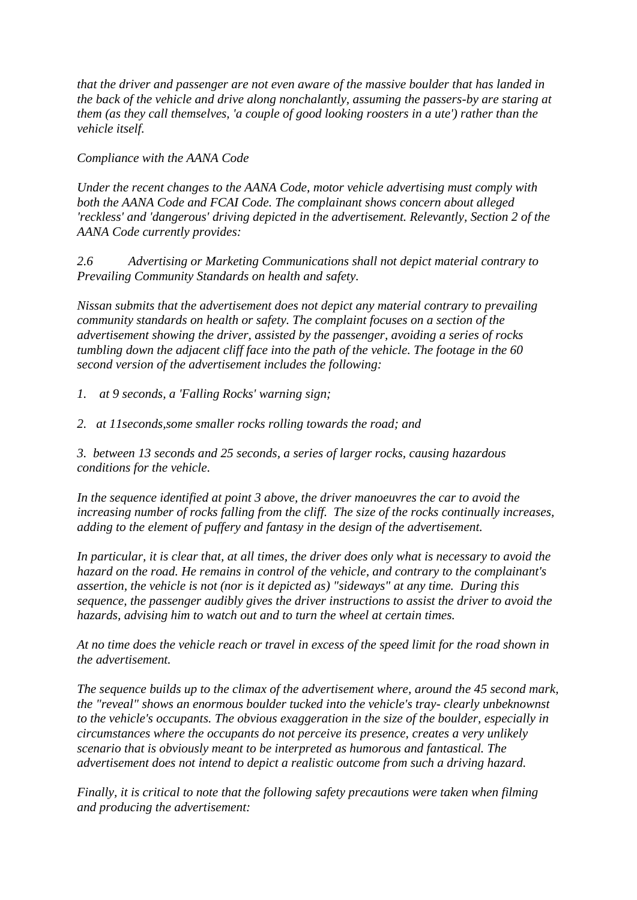*that the driver and passenger are not even aware of the massive boulder that has landed in the back of the vehicle and drive along nonchalantly, assuming the passers-by are staring at them (as they call themselves, 'a couple of good looking roosters in a ute') rather than the vehicle itself.*

*Compliance with the AANA Code*

*Under the recent changes to the AANA Code, motor vehicle advertising must comply with both the AANA Code and FCAI Code. The complainant shows concern about alleged 'reckless' and 'dangerous' driving depicted in the advertisement. Relevantly, Section 2 of the AANA Code currently provides:*

*2.6 Advertising or Marketing Communications shall not depict material contrary to Prevailing Community Standards on health and safety.*

*Nissan submits that the advertisement does not depict any material contrary to prevailing community standards on health or safety. The complaint focuses on a section of the advertisement showing the driver, assisted by the passenger, avoiding a series of rocks tumbling down the adjacent cliff face into the path of the vehicle. The footage in the 60 second version of the advertisement includes the following:*

*1. at 9 seconds, a 'Falling Rocks' warning sign;*

*2. at 11seconds,some smaller rocks rolling towards the road; and*

*3. between 13 seconds and 25 seconds, a series of larger rocks, causing hazardous conditions for the vehicle.*

*In the sequence identified at point 3 above, the driver manoeuvres the car to avoid the increasing number of rocks falling from the cliff. The size of the rocks continually increases, adding to the element of puffery and fantasy in the design of the advertisement.*

*In particular, it is clear that, at all times, the driver does only what is necessary to avoid the hazard on the road. He remains in control of the vehicle, and contrary to the complainant's assertion, the vehicle is not (nor is it depicted as) "sideways" at any time. During this sequence, the passenger audibly gives the driver instructions to assist the driver to avoid the hazards, advising him to watch out and to turn the wheel at certain times.*

*At no time does the vehicle reach or travel in excess of the speed limit for the road shown in the advertisement.*

*The sequence builds up to the climax of the advertisement where, around the 45 second mark, the "reveal" shows an enormous boulder tucked into the vehicle's tray- clearly unbeknownst to the vehicle's occupants. The obvious exaggeration in the size of the boulder, especially in circumstances where the occupants do not perceive its presence, creates a very unlikely scenario that is obviously meant to be interpreted as humorous and fantastical. The advertisement does not intend to depict a realistic outcome from such a driving hazard.*

*Finally, it is critical to note that the following safety precautions were taken when filming and producing the advertisement:*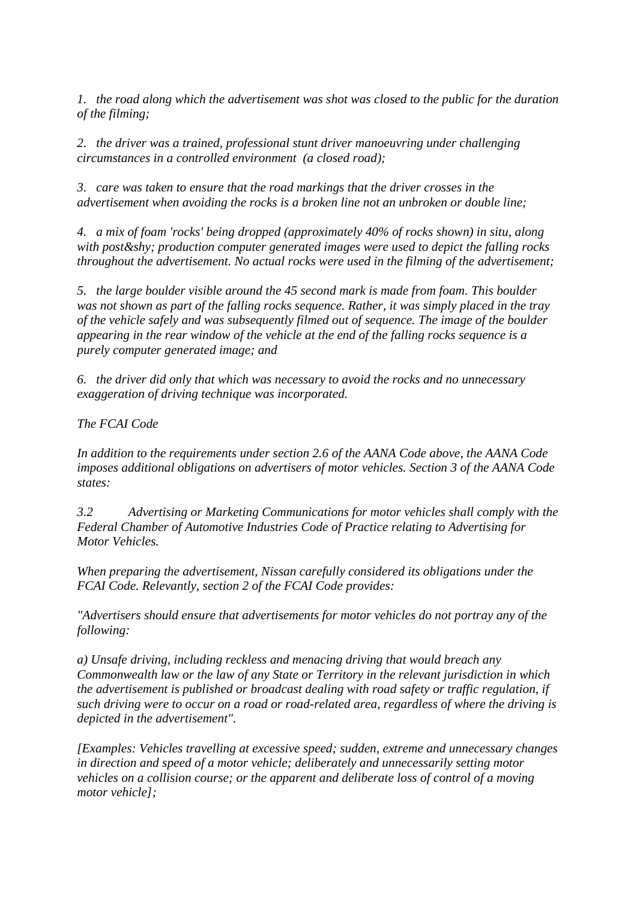*1. the road along which the advertisement was shot was closed to the public for the duration of the filming;*

*2. the driver was a trained, professional stunt driver manoeuvring under challenging circumstances in a controlled environment (a closed road);*

*3. care was taken to ensure that the road markings that the driver crosses in the advertisement when avoiding the rocks is a broken line not an unbroken or double line;*

*4. a mix of foam 'rocks' being dropped (approximately 40% of rocks shown) in situ, along with post­ production computer generated images were used to depict the falling rocks throughout the advertisement. No actual rocks were used in the filming of the advertisement;*

*5. the large boulder visible around the 45 second mark is made from foam. This boulder was not shown as part of the falling rocks sequence. Rather, it was simply placed in the tray of the vehicle safely and was subsequently filmed out of sequence. The image of the boulder appearing in the rear window of the vehicle at the end of the falling rocks sequence is a purely computer generated image; and*

*6. the driver did only that which was necessary to avoid the rocks and no unnecessary exaggeration of driving technique was incorporated.*

*The FCAI Code* 

*In addition to the requirements under section 2.6 of the AANA Code above, the AANA Code imposes additional obligations on advertisers of motor vehicles. Section 3 of the AANA Code states:*

*3.2 Advertising or Marketing Communications for motor vehicles shall comply with the Federal Chamber of Automotive Industries Code of Practice relating to Advertising for Motor Vehicles.* 

*When preparing the advertisement, Nissan carefully considered its obligations under the FCAI Code. Relevantly, section 2 of the FCAI Code provides:*

*"Advertisers should ensure that advertisements for motor vehicles do not portray any of the following:*

*a) Unsafe driving, including reckless and menacing driving that would breach any Commonwealth law or the law of any State or Territory in the relevant jurisdiction in which the advertisement is published or broadcast dealing with road safety or traffic regulation, if such driving were to occur on a road or road-related area, regardless of where the driving is depicted in the advertisement".*

*[Examples: Vehicles travelling at excessive speed; sudden, extreme and unnecessary changes in direction and speed of a motor vehicle; deliberately and unnecessarily setting motor vehicles on a collision course; or the apparent and deliberate loss of control of a moving motor vehicle];*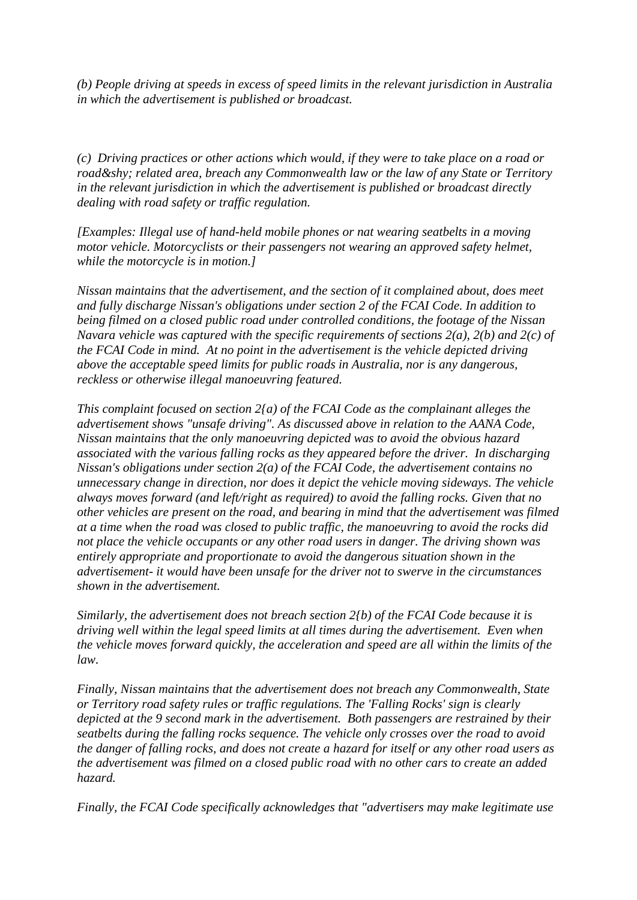*(b) People driving at speeds in excess of speed limits in the relevant jurisdiction in Australia in which the advertisement is published or broadcast.*

*(c) Driving practices or other actions which would, if they were to take place on a road or road­ related area, breach any Commonwealth law or the law of any State or Territory in the relevant jurisdiction in which the advertisement is published or broadcast directly dealing with road safety or traffic regulation.*

*[Examples: Illegal use of hand-held mobile phones or nat wearing seatbelts in a moving motor vehicle. Motorcyclists or their passengers not wearing an approved safety helmet, while the motorcycle is in motion.]*

*Nissan maintains that the advertisement, and the section of it complained about, does meet and fully discharge Nissan's obligations under section 2 of the FCAI Code. In addition to being filmed on a closed public road under controlled conditions, the footage of the Nissan Navara vehicle was captured with the specific requirements of sections 2(a), 2(b) and 2(c) of the FCAI Code in mind. At no point in the advertisement is the vehicle depicted driving above the acceptable speed limits for public roads in Australia, nor is any dangerous, reckless or otherwise illegal manoeuvring featured.*

*This complaint focused on section 2{a) of the FCAI Code as the complainant alleges the advertisement shows "unsafe driving". As discussed above in relation to the AANA Code, Nissan maintains that the only manoeuvring depicted was to avoid the obvious hazard associated with the various falling rocks as they appeared before the driver. In discharging Nissan's obligations under section 2(a) of the FCAI Code, the advertisement contains no unnecessary change in direction, nor does it depict the vehicle moving sideways. The vehicle always moves forward (and left/right as required) to avoid the falling rocks. Given that no other vehicles are present on the road, and bearing in mind that the advertisement was filmed at a time when the road was closed to public traffic, the manoeuvring to avoid the rocks did not place the vehicle occupants or any other road users in danger. The driving shown was entirely appropriate and proportionate to avoid the dangerous situation shown in the advertisement- it would have been unsafe for the driver not to swerve in the circumstances shown in the advertisement.*

*Similarly, the advertisement does not breach section 2{b) of the FCAI Code because it is driving well within the legal speed limits at all times during the advertisement. Even when the vehicle moves forward quickly, the acceleration and speed are all within the limits of the law.*

*Finally, Nissan maintains that the advertisement does not breach any Commonwealth, State or Territory road safety rules or traffic regulations. The 'Falling Rocks' sign is clearly depicted at the 9 second mark in the advertisement. Both passengers are restrained by their seatbelts during the falling rocks sequence. The vehicle only crosses over the road to avoid the danger of falling rocks, and does not create a hazard for itself or any other road users as the advertisement was filmed on a closed public road with no other cars to create an added hazard.*

*Finally, the FCAI Code specifically acknowledges that "advertisers may make legitimate use*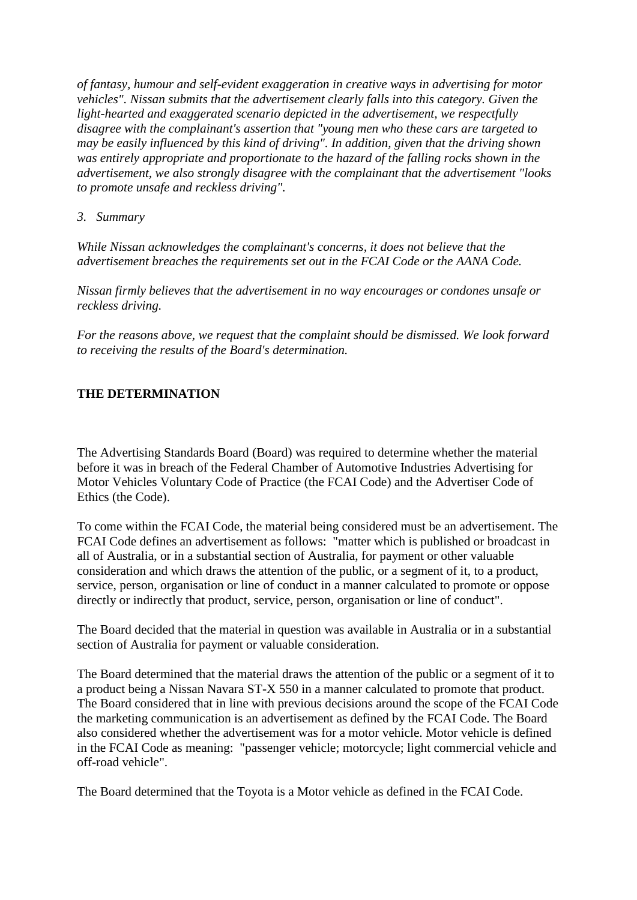*of fantasy, humour and self-evident exaggeration in creative ways in advertising for motor vehicles". Nissan submits that the advertisement clearly falls into this category. Given the light-hearted and exaggerated scenario depicted in the advertisement, we respectfully disagree with the complainant's assertion that "young men who these cars are targeted to may be easily influenced by this kind of driving". In addition, given that the driving shown was entirely appropriate and proportionate to the hazard of the falling rocks shown in the advertisement, we also strongly disagree with the complainant that the advertisement "looks to promote unsafe and reckless driving".*

### *3. Summary*

*While Nissan acknowledges the complainant's concerns, it does not believe that the advertisement breaches the requirements set out in the FCAI Code or the AANA Code.*

*Nissan firmly believes that the advertisement in no way encourages or condones unsafe or reckless driving.*

*For the reasons above, we request that the complaint should be dismissed. We look forward to receiving the results of the Board's determination.*

## **THE DETERMINATION**

The Advertising Standards Board (Board) was required to determine whether the material before it was in breach of the Federal Chamber of Automotive Industries Advertising for Motor Vehicles Voluntary Code of Practice (the FCAI Code) and the Advertiser Code of Ethics (the Code).

To come within the FCAI Code, the material being considered must be an advertisement. The FCAI Code defines an advertisement as follows: "matter which is published or broadcast in all of Australia, or in a substantial section of Australia, for payment or other valuable consideration and which draws the attention of the public, or a segment of it, to a product, service, person, organisation or line of conduct in a manner calculated to promote or oppose directly or indirectly that product, service, person, organisation or line of conduct".

The Board decided that the material in question was available in Australia or in a substantial section of Australia for payment or valuable consideration.

The Board determined that the material draws the attention of the public or a segment of it to a product being a Nissan Navara ST-X 550 in a manner calculated to promote that product. The Board considered that in line with previous decisions around the scope of the FCAI Code the marketing communication is an advertisement as defined by the FCAI Code. The Board also considered whether the advertisement was for a motor vehicle. Motor vehicle is defined in the FCAI Code as meaning: "passenger vehicle; motorcycle; light commercial vehicle and off-road vehicle".

The Board determined that the Toyota is a Motor vehicle as defined in the FCAI Code.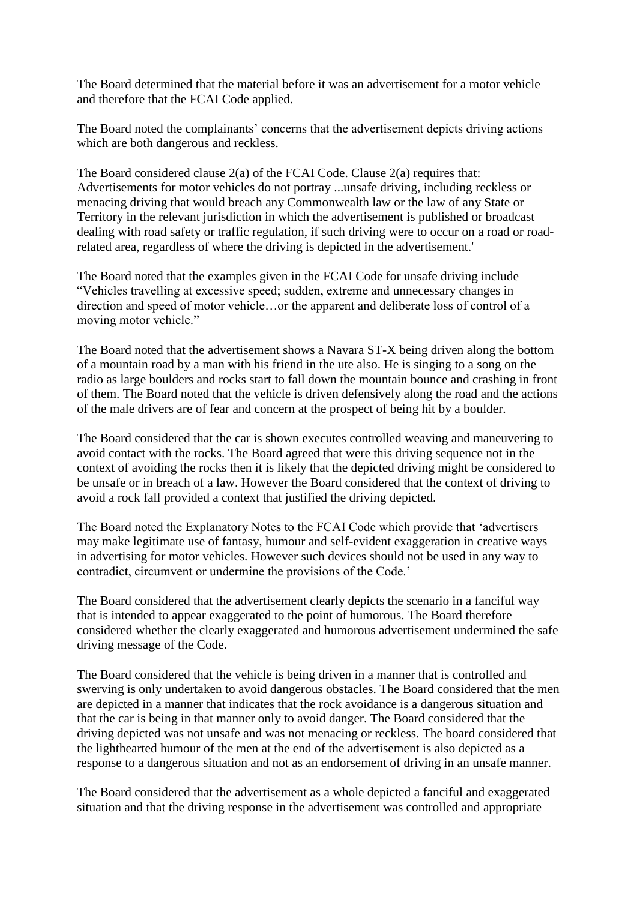The Board determined that the material before it was an advertisement for a motor vehicle and therefore that the FCAI Code applied.

The Board noted the complainants' concerns that the advertisement depicts driving actions which are both dangerous and reckless.

The Board considered clause 2(a) of the FCAI Code. Clause 2(a) requires that: Advertisements for motor vehicles do not portray ...unsafe driving, including reckless or menacing driving that would breach any Commonwealth law or the law of any State or Territory in the relevant jurisdiction in which the advertisement is published or broadcast dealing with road safety or traffic regulation, if such driving were to occur on a road or roadrelated area, regardless of where the driving is depicted in the advertisement.'

The Board noted that the examples given in the FCAI Code for unsafe driving include "Vehicles travelling at excessive speed; sudden, extreme and unnecessary changes in direction and speed of motor vehicle…or the apparent and deliberate loss of control of a moving motor vehicle."

The Board noted that the advertisement shows a Navara ST-X being driven along the bottom of a mountain road by a man with his friend in the ute also. He is singing to a song on the radio as large boulders and rocks start to fall down the mountain bounce and crashing in front of them. The Board noted that the vehicle is driven defensively along the road and the actions of the male drivers are of fear and concern at the prospect of being hit by a boulder.

The Board considered that the car is shown executes controlled weaving and maneuvering to avoid contact with the rocks. The Board agreed that were this driving sequence not in the context of avoiding the rocks then it is likely that the depicted driving might be considered to be unsafe or in breach of a law. However the Board considered that the context of driving to avoid a rock fall provided a context that justified the driving depicted.

The Board noted the Explanatory Notes to the FCAI Code which provide that "advertisers may make legitimate use of fantasy, humour and self-evident exaggeration in creative ways in advertising for motor vehicles. However such devices should not be used in any way to contradict, circumvent or undermine the provisions of the Code.'

The Board considered that the advertisement clearly depicts the scenario in a fanciful way that is intended to appear exaggerated to the point of humorous. The Board therefore considered whether the clearly exaggerated and humorous advertisement undermined the safe driving message of the Code.

The Board considered that the vehicle is being driven in a manner that is controlled and swerving is only undertaken to avoid dangerous obstacles. The Board considered that the men are depicted in a manner that indicates that the rock avoidance is a dangerous situation and that the car is being in that manner only to avoid danger. The Board considered that the driving depicted was not unsafe and was not menacing or reckless. The board considered that the lighthearted humour of the men at the end of the advertisement is also depicted as a response to a dangerous situation and not as an endorsement of driving in an unsafe manner.

The Board considered that the advertisement as a whole depicted a fanciful and exaggerated situation and that the driving response in the advertisement was controlled and appropriate